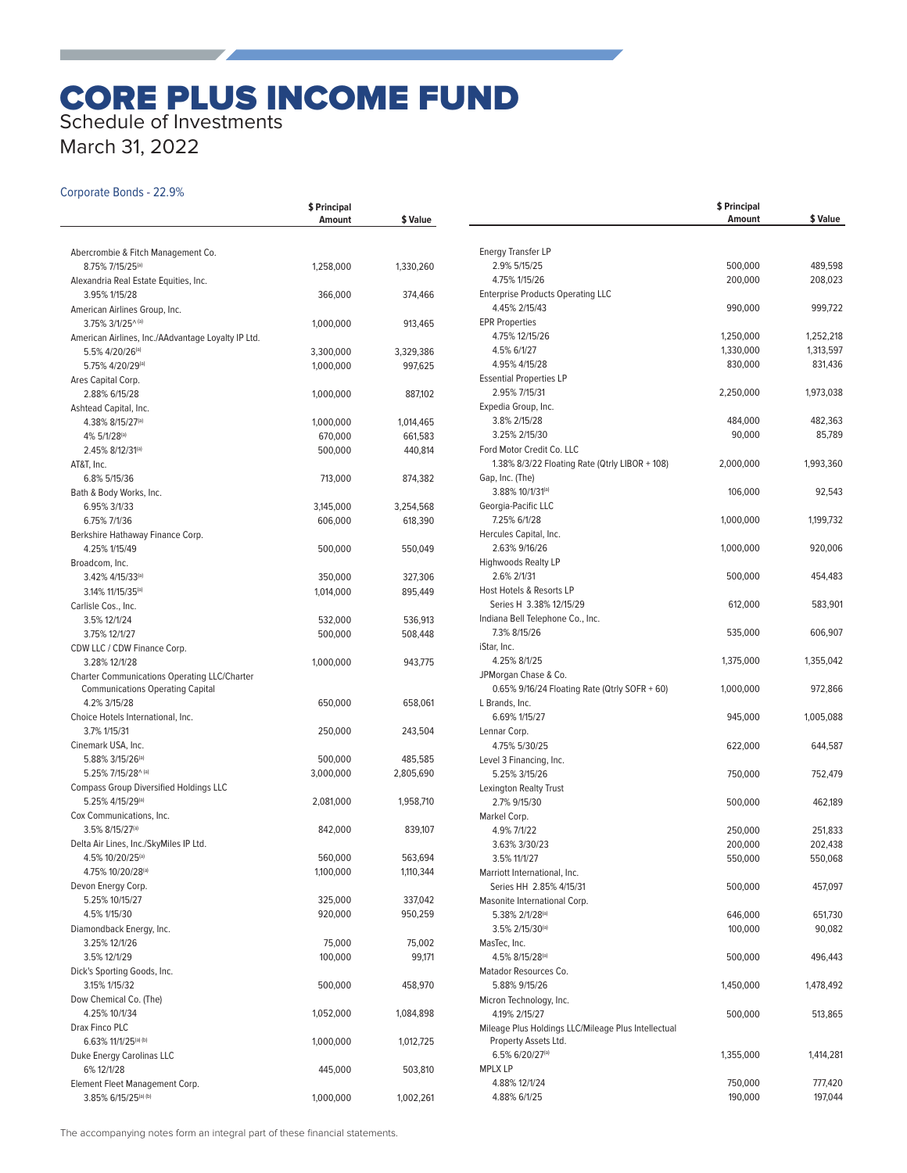# CORE PLUS INCOME FUND Schedule of Investments

**\$ Principal** 

March 31, 2022

## Corporate Bonds - 22.9%

|                                                        | <b>Amount</b> | \$ Value  |
|--------------------------------------------------------|---------------|-----------|
|                                                        |               |           |
| Abercrombie & Fitch Management Co.                     |               |           |
| 8.75% 7/15/25(a)                                       | 1,258,000     | 1,330,260 |
| Alexandria Real Estate Equities, Inc.                  |               |           |
| 3.95% 1/15/28                                          | 366,000       | 374,466   |
| American Airlines Group, Inc.                          |               |           |
| 3.75% 3/1/25^(a)                                       | 1,000,000     | 913,465   |
| American Airlines, Inc./AAdvantage Loyalty IP Ltd.     |               |           |
| 5.5% 4/20/26 <sup>(a)</sup>                            | 3,300,000     | 3,329,386 |
| 5.75% 4/20/29(a)                                       | 1,000,000     | 997,625   |
| Ares Capital Corp.                                     |               |           |
| 2.88% 6/15/28                                          | 1,000,000     | 887,102   |
| Ashtead Capital, Inc.                                  |               |           |
| 4.38% 8/15/27 <sup>(a)</sup>                           | 1,000,000     | 1,014,465 |
| 4% 5/1/28(a)                                           | 670,000       | 661,583   |
| 2.45% 8/12/31(a)                                       | 500,000       | 440,814   |
| AT&T, Inc.                                             |               |           |
| 6.8% 5/15/36                                           | 713,000       | 874,382   |
| Bath & Body Works, Inc.                                |               |           |
| 6.95% 3/1/33                                           | 3,145,000     | 3,254,568 |
| 6.75% 7/1/36                                           | 606,000       | 618,390   |
| Berkshire Hathaway Finance Corp.                       |               |           |
| 4.25% 1/15/49                                          | 500,000       | 550,049   |
| Broadcom, Inc.                                         |               |           |
| 3.42% 4/15/33(a)                                       | 350,000       | 327,306   |
| 3.14% 11/15/35 <sup>(a)</sup>                          | 1,014,000     | 895,449   |
| Carlisle Cos., Inc.                                    |               |           |
| 3.5% 12/1/24                                           | 532,000       | 536,913   |
| 3.75% 12/1/27                                          | 500,000       | 508,448   |
| CDW LLC / CDW Finance Corp.                            |               |           |
| 3.28% 12/1/28                                          | 1,000,000     | 943,775   |
| <b>Charter Communications Operating LLC/Charter</b>    |               |           |
| <b>Communications Operating Capital</b>                |               |           |
| 4.2% 3/15/28                                           | 650,000       | 658,061   |
| Choice Hotels International, Inc.                      |               |           |
| 3.7% 1/15/31                                           | 250,000       | 243,504   |
| Cinemark USA, Inc.                                     |               |           |
| 5.88% 3/15/26(a)                                       | 500,000       | 485,585   |
| 5.25% 7/15/28^(a)                                      | 3,000,000     | 2,805,690 |
| <b>Compass Group Diversified Holdings LLC</b>          |               |           |
| 5.25% 4/15/29(a)                                       | 2,081,000     | 1,958,710 |
| Cox Communications, Inc.                               |               |           |
| 3.5% 8/15/27 <sup>(a)</sup>                            | 842,000       | 839,107   |
| Delta Air Lines, Inc./SkyMiles IP Ltd.                 |               |           |
| 4.5% 10/20/25(a)                                       | 560,000       | 563,694   |
| 4.75% 10/20/28(a)                                      | 1,100,000     | 1,110,344 |
| Devon Energy Corp.                                     |               |           |
| 5.25% 10/15/27                                         | 325,000       | 337,042   |
| 4.5% 1/15/30                                           | 920,000       | 950,259   |
| Diamondback Energy, Inc.                               |               |           |
| 3.25% 12/1/26                                          | 75,000        | 75,002    |
| 3.5% 12/1/29                                           | 100,000       | 99,171    |
| Dick's Sporting Goods, Inc.                            |               |           |
| 3.15% 1/15/32                                          | 500,000       | 458,970   |
| Dow Chemical Co. (The)                                 |               |           |
| 4.25% 10/1/34                                          | 1,052,000     | 1,084,898 |
| Drax Finco PLC                                         |               |           |
| 6.63% 11/1/25(a) (b)                                   |               |           |
| Duke Energy Carolinas LLC                              | 1,000,000     | 1,012,725 |
| 6% 12/1/28                                             |               |           |
|                                                        | 445,000       | 503,810   |
| Element Fleet Management Corp.<br>3.85% 6/15/25(a) (b) |               |           |
|                                                        | 1,000,000     | 1,002,261 |

|                                                         | \$ Principal<br>Amount | \$ Value  |
|---------------------------------------------------------|------------------------|-----------|
| <b>Energy Transfer LP</b>                               |                        |           |
| 2.9% 5/15/25                                            | 500,000                | 489,598   |
| 4.75% 1/15/26                                           | 200,000                | 208,023   |
| <b>Enterprise Products Operating LLC</b>                |                        |           |
| 4.45% 2/15/43                                           | 990,000                | 999,722   |
| <b>EPR Properties</b>                                   |                        |           |
| 4.75% 12/15/26                                          | 1,250,000              | 1,252,218 |
| 4.5% 6/1/27                                             | 1,330,000              | 1,313,597 |
| 4.95% 4/15/28                                           | 830,000                | 831,436   |
| <b>Essential Properties LP</b>                          |                        |           |
| 2.95% 7/15/31                                           | 2,250,000              | 1,973,038 |
| Expedia Group, Inc.                                     |                        |           |
| 3.8% 2/15/28                                            | 484,000                | 482,363   |
| 3.25% 2/15/30<br>Ford Motor Credit Co. LLC              | 90,000                 | 85,789    |
| 1.38% 8/3/22 Floating Rate (Qtrly LIBOR + 108)          | 2,000,000              | 1,993,360 |
| Gap, Inc. (The)                                         |                        |           |
| 3.88% 10/1/31(a)                                        | 106,000                | 92,543    |
| Georgia-Pacific LLC                                     |                        |           |
| 7.25% 6/1/28                                            | 1,000,000              | 1,199,732 |
| Hercules Capital, Inc.                                  |                        |           |
| 2.63% 9/16/26                                           | 1,000,000              | 920,006   |
| Highwoods Realty LP                                     |                        |           |
| 2.6% 2/1/31                                             | 500,000                | 454,483   |
| Host Hotels & Resorts LP                                |                        |           |
| Series H 3.38% 12/15/29                                 | 612,000                | 583,901   |
| Indiana Bell Telephone Co., Inc.                        |                        |           |
| 7.3% 8/15/26<br>iStar, Inc.                             | 535,000                | 606,907   |
| 4.25% 8/1/25                                            | 1,375,000              | 1,355,042 |
| JPMorgan Chase & Co.                                    |                        |           |
| 0.65% 9/16/24 Floating Rate (Qtrly SOFR + 60)           | 1,000,000              | 972,866   |
| L Brands, Inc.                                          |                        |           |
| 6.69% 1/15/27                                           | 945,000                | 1,005,088 |
| Lennar Corp.                                            |                        |           |
| 4.75% 5/30/25                                           | 622,000                | 644,587   |
| Level 3 Financing, Inc.                                 |                        |           |
| 5.25% 3/15/26                                           | 750,000                | 752,479   |
| Lexington Realty Trust                                  |                        |           |
| 2.7% 9/15/30                                            | 500,000                | 462,189   |
| Markel Corp.                                            |                        |           |
| 4.9% 7/1/22                                             | 250,000                | 251,833   |
| 3.63% 3/30/23                                           | 200,000                | 202,438   |
| 3.5% 11/1/27                                            | 550,000                | 550,068   |
| Marriott International, Inc.<br>Series HH 2.85% 4/15/31 | 500,000                | 457,097   |
| Masonite International Corp.                            |                        |           |
| 5.38% 2/1/28(a)                                         | 646,000                | 651,730   |
| 3.5% 2/15/30 <sup>(a)</sup>                             | 100,000                | 90,082    |
| MasTec, Inc.                                            |                        |           |
| 4.5% 8/15/28 <sup>(a)</sup>                             | 500,000                | 496,443   |
| Matador Resources Co.                                   |                        |           |
| 5.88% 9/15/26                                           | 1,450,000              | 1,478,492 |
| Micron Technology, Inc.                                 |                        |           |
| 4.19% 2/15/27                                           | 500,000                | 513,865   |
| Mileage Plus Holdings LLC/Mileage Plus Intellectual     |                        |           |
| Property Assets Ltd.                                    |                        |           |
| 6.5% 6/20/27(a)                                         | 1,355,000              | 1,414,281 |
| <b>MPLX LP</b>                                          |                        |           |
| 4.88% 12/1/24                                           | 750,000                | 777,420   |
| 4.88% 6/1/25                                            | 190,000                | 197,044   |

The accompanying notes form an integral part of these financial statements.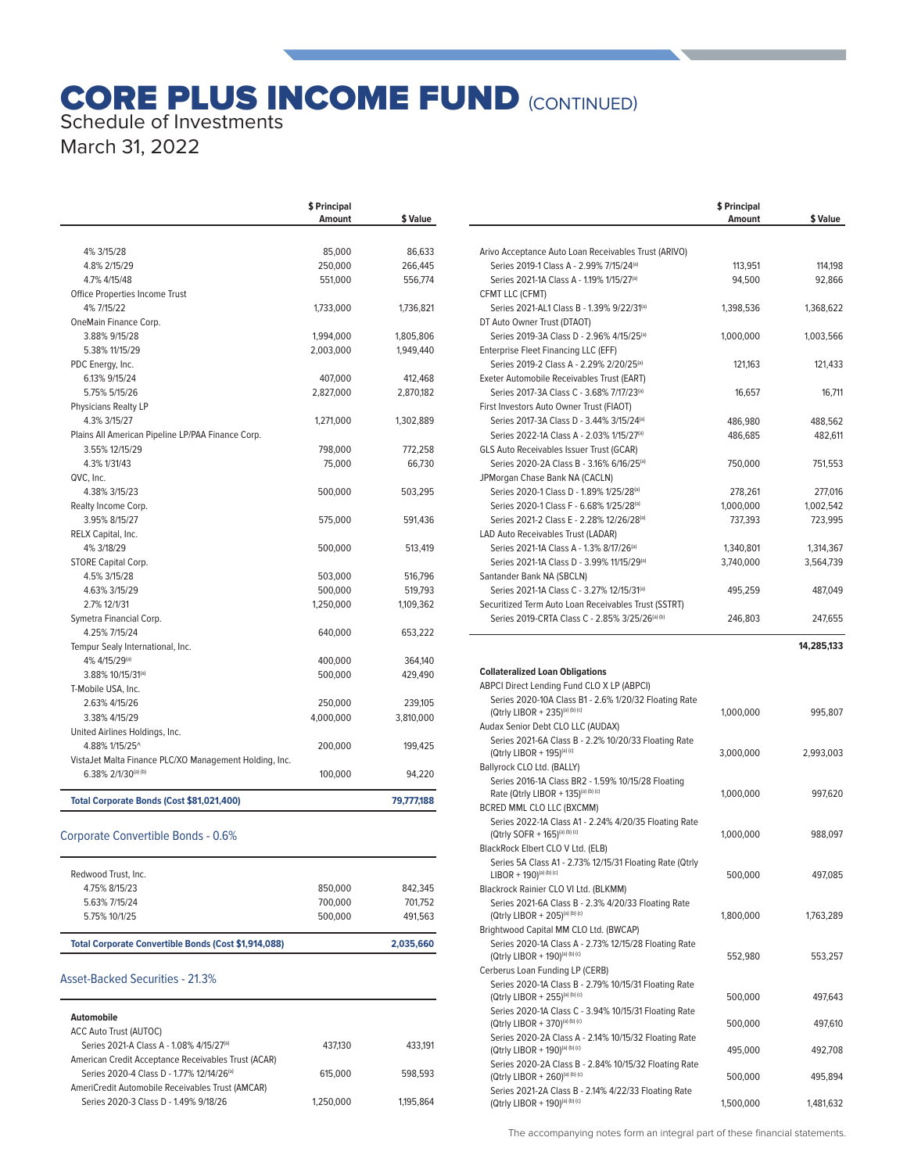# **CORE PLUS INCOME FUND (CONTINUED)** Schedule of Investments

March 31, 2022

| 4% 3/15/28<br>4.8% 2/15/29<br>4.7% 4/15/48             | <b>Amount</b><br>85,000<br>250,000 | \$ Value<br>86,633 |
|--------------------------------------------------------|------------------------------------|--------------------|
|                                                        |                                    |                    |
|                                                        |                                    |                    |
|                                                        |                                    | 266,445            |
|                                                        | 551,000                            | 556,774            |
| Office Properties Income Trust                         |                                    |                    |
| 4% 7/15/22                                             | 1,733,000                          | 1,736,821          |
| OneMain Finance Corp.                                  |                                    |                    |
| 3.88% 9/15/28                                          | 1,994,000                          | 1,805,806          |
| 5.38% 11/15/29                                         | 2,003,000                          | 1,949,440          |
| PDC Energy, Inc.                                       |                                    |                    |
| 6.13% 9/15/24                                          | 407,000                            | 412,468            |
| 5.75% 5/15/26                                          | 2,827,000                          | 2,870,182          |
| Physicians Realty LP                                   |                                    |                    |
| 4.3% 3/15/27                                           | 1,271,000                          | 1,302,889          |
| Plains All American Pipeline LP/PAA Finance Corp.      |                                    |                    |
| 3.55% 12/15/29                                         | 798,000                            | 772,258            |
| 4.3% 1/31/43                                           | 75,000                             | 66,730             |
| QVC, Inc.                                              |                                    |                    |
| 4.38% 3/15/23                                          | 500,000                            | 503,295            |
| Realty Income Corp.                                    |                                    |                    |
| 3.95% 8/15/27                                          | 575,000                            | 591,436            |
| RELX Capital, Inc.                                     |                                    |                    |
| 4% 3/18/29                                             | 500,000                            | 513,419            |
| STORE Capital Corp.                                    |                                    |                    |
| 4.5% 3/15/28                                           | 503,000                            | 516,796            |
| 4.63% 3/15/29                                          | 500,000                            | 519,793            |
| 2.7% 12/1/31                                           | 1,250,000                          | 1,109,362          |
| Symetra Financial Corp.                                |                                    |                    |
| 4.25% 7/15/24                                          | 640,000                            | 653,222            |
| Tempur Sealy International, Inc.                       |                                    |                    |
| 4% 4/15/29(a)                                          | 400,000                            | 364,140            |
| 3.88% 10/15/31 <sup>(a)</sup>                          | 500.000                            | 429,490            |
| T-Mobile USA, Inc.                                     |                                    |                    |
| 2.63% 4/15/26                                          | 250,000                            | 239,105            |
| 3.38% 4/15/29                                          | 4,000,000                          | 3,810,000          |
| United Airlines Holdings, Inc.                         |                                    |                    |
| 4.88% 1/15/25^                                         | 200,000                            | 199,425            |
| VistaJet Malta Finance PLC/XO Management Holding, Inc. |                                    |                    |
| 6.38% 2/1/30(a) (b)                                    | 100,000                            | 94,220             |
| Total Corporate Bonds (Cost \$81,021,400)              |                                    | 79,777,188         |

### Corporate Convertible Bonds - 0.6%

| Total Corporate Convertible Bonds (Cost \$1,914,088) |         | 2.035.660 |
|------------------------------------------------------|---------|-----------|
| 5.75% 10/1/25                                        | 500,000 | 491.563   |
| 5.63% 7/15/24                                        | 700.000 | 701.752   |
| 4.75% 8/15/23                                        | 850,000 | 842.345   |
| Redwood Trust, Inc.                                  |         |           |

### Asset-Backed Securities - 21.3%

| Automobile<br><b>ACC Auto Trust (AUTOC)</b>         |           |           |
|-----------------------------------------------------|-----------|-----------|
| Series 2021-A Class A - 1.08% 4/15/27(a)            | 437.130   | 433.191   |
| American Credit Acceptance Receivables Trust (ACAR) |           |           |
| Series 2020-4 Class D - 1.77% 12/14/26(a)           | 615,000   | 598.593   |
| AmeriCredit Automobile Receivables Trust (AMCAR)    |           |           |
| Series 2020-3 Class D - 1.49% 9/18/26               | 1.250.000 | 1.195.864 |

|                                                                                                               | \$ Principal<br>Amount | \$ Value             |
|---------------------------------------------------------------------------------------------------------------|------------------------|----------------------|
|                                                                                                               |                        |                      |
| Arivo Acceptance Auto Loan Receivables Trust (ARIVO)                                                          |                        |                      |
| Series 2019-1 Class A - 2.99% 7/15/24 <sup>(a)</sup><br>Series 2021-1A Class A - 1.19% 1/15/27 <sup>(a)</sup> | 113,951<br>94,500      | 114,198<br>92,866    |
| CFMT LLC (CFMT)                                                                                               |                        |                      |
| Series 2021-AL1 Class B - 1.39% 9/22/31(a)                                                                    | 1,398,536              | 1,368,622            |
| DT Auto Owner Trust (DTAOT)                                                                                   |                        |                      |
| Series 2019-3A Class D - 2.96% 4/15/25 <sup>(a)</sup>                                                         | 1,000,000              | 1,003,566            |
| Enterprise Fleet Financing LLC (EFF)                                                                          |                        |                      |
| Series 2019-2 Class A - 2.29% 2/20/25(a)                                                                      | 121,163                | 121,433              |
| Exeter Automobile Receivables Trust (EART)<br>Series 2017-3A Class C - 3.68% 7/17/23 <sup>(a)</sup>           |                        |                      |
| First Investors Auto Owner Trust (FIAOT)                                                                      | 16,657                 | 16,711               |
| Series 2017-3A Class D - 3.44% 3/15/24 <sup>(a)</sup>                                                         | 486,980                | 488,562              |
| Series 2022-1A Class A - 2.03% 1/15/27(a)                                                                     | 486,685                | 482,611              |
| GLS Auto Receivables Issuer Trust (GCAR)                                                                      |                        |                      |
| Series 2020-2A Class B - 3.16% 6/16/25 <sup>(a)</sup>                                                         | 750,000                | 751,553              |
| JPMorgan Chase Bank NA (CACLN)                                                                                |                        |                      |
| Series 2020-1 Class D - 1.89% 1/25/28(a)                                                                      | 278,261                | 277,016              |
| Series 2020-1 Class F - 6.68% 1/25/28 <sup>(a)</sup><br>Series 2021-2 Class E - 2.28% 12/26/28(a)             | 1,000,000<br>737,393   | 1,002,542<br>723,995 |
| LAD Auto Receivables Trust (LADAR)                                                                            |                        |                      |
| Series 2021-1A Class A - 1.3% 8/17/26(a)                                                                      | 1,340,801              | 1,314,367            |
| Series 2021-1A Class D - 3.99% 11/15/29(a)                                                                    | 3,740,000              | 3,564,739            |
| Santander Bank NA (SBCLN)                                                                                     |                        |                      |
| Series 2021-1A Class C - 3.27% 12/15/31 <sup>(a)</sup>                                                        | 495,259                | 487,049              |
| Securitized Term Auto Loan Receivables Trust (SSTRT)                                                          |                        |                      |
| Series 2019-CRTA Class C - 2.85% 3/25/26(a) (b)                                                               | 246,803                | 247,655              |
|                                                                                                               |                        | 14,285,133           |
|                                                                                                               |                        |                      |
| <b>Collateralized Loan Obligations</b>                                                                        |                        |                      |
| ABPCI Direct Lending Fund CLO X LP (ABPCI)<br>Series 2020-10A Class B1 - 2.6% 1/20/32 Floating Rate           |                        |                      |
| (Qtrly LIBOR + 235)(a) (b) (c)                                                                                | 1,000,000              | 995,807              |
| Audax Senior Debt CLO LLC (AUDAX)                                                                             |                        |                      |
| Series 2021-6A Class B - 2.2% 10/20/33 Floating Rate                                                          |                        |                      |
| (Qtrly LIBOR + 195)(a) (c)                                                                                    | 3,000,000              | 2,993,003            |
| Ballyrock CLO Ltd. (BALLY)                                                                                    |                        |                      |
| Series 2016-1A Class BR2 - 1.59% 10/15/28 Floating<br>Rate (Qtrly LIBOR + 135)(a) (b) (c)                     | 1,000,000              | 997,620              |
| BCRED MML CLO LLC (BXCMM)                                                                                     |                        |                      |
| Series 2022-1A Class A1 - 2.24% 4/20/35 Floating Rate                                                         |                        |                      |
| (Qtrly SOFR + 165)(a) (b) (c)                                                                                 | 1,000,000              | 988,097              |
| BlackRock Elbert CLO V Ltd. (ELB)                                                                             |                        |                      |
| Series 5A Class A1 - 2.73% 12/15/31 Floating Rate (Qtrly<br>$LIBOR + 190)^{(a)(b)(c)}$                        | 500,000                | 497,085              |
| Blackrock Rainier CLO VI Ltd. (BLKMM)                                                                         |                        |                      |
| Series 2021-6A Class B - 2.3% 4/20/33 Floating Rate                                                           |                        |                      |
| (Qtrly LIBOR + 205)(a) (b) (c)                                                                                | 1,800,000              | 1,763,289            |
| Brightwood Capital MM CLO Ltd. (BWCAP)                                                                        |                        |                      |
| Series 2020-1A Class A - 2.73% 12/15/28 Floating Rate                                                         |                        |                      |
| (Qtrly LIBOR + 190)(a) (b) (c)<br>Cerberus Loan Funding LP (CERB)                                             | 552,980                | 553,257              |
| Series 2020-1A Class B - 2.79% 10/15/31 Floating Rate                                                         |                        |                      |
| (Qtrly LIBOR + 255)(a) (b) (c)                                                                                | 500,000                | 497,643              |
| Series 2020-1A Class C - 3.94% 10/15/31 Floating Rate                                                         |                        |                      |
| (Qtrly LIBOR + 370)(a) (b) (c)                                                                                | 500,000                | 497,610              |
| Series 2020-2A Class A - 2.14% 10/15/32 Floating Rate                                                         |                        | 492,708              |
| (Qtrly LIBOR + 190)(a) (b) (c)<br>Series 2020-2A Class B - 2.84% 10/15/32 Floating Rate                       | 495,000                |                      |
| (Qtrly LIBOR + 260)(a) (b) (c)                                                                                | 500,000                | 495,894              |
| Series 2021-2A Class B - 2.14% 4/22/33 Floating Rate                                                          |                        |                      |
| (Qtrly LIBOR + 190)(a) (b) (c)                                                                                | 1,500,000              | 1,481,632            |

The accompanying notes form an integral part of these financial statements.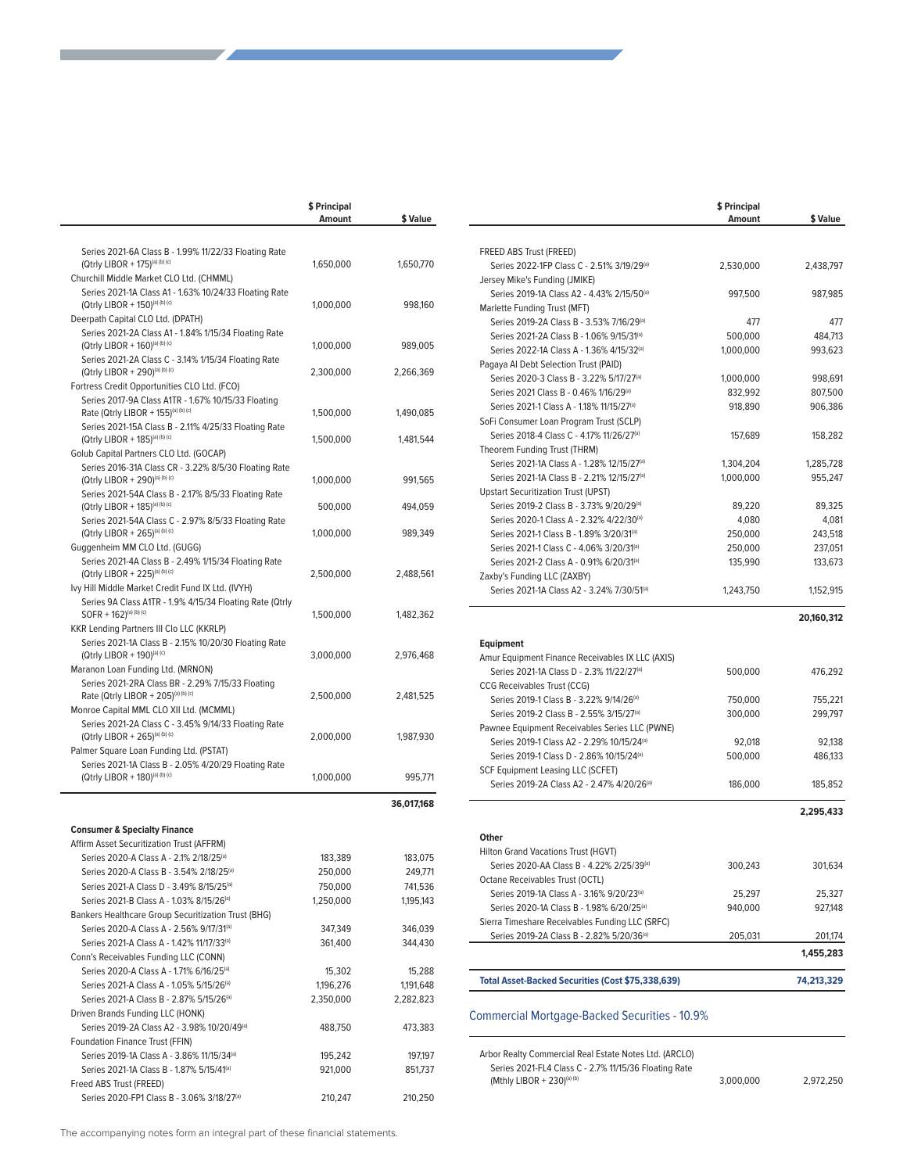|                                                                                         | \$ Principal<br>Amount | \$ Value   |
|-----------------------------------------------------------------------------------------|------------------------|------------|
|                                                                                         |                        |            |
| Series 2021-6A Class B - 1.99% 11/22/33 Floating Rate<br>(Qtrly LIBOR + 175)(a) (b) (c) | 1,650,000              | 1,650,770  |
| Churchill Middle Market CLO Ltd. (CHMML)                                                |                        |            |
| Series 2021-1A Class A1 - 1.63% 10/24/33 Floating Rate                                  |                        |            |
| (Qtrly LIBOR + 150)(a) (b) (c)                                                          | 1,000,000              | 998,160    |
| Deerpath Capital CLO Ltd. (DPATH)                                                       |                        |            |
| Series 2021-2A Class A1 - 1.84% 1/15/34 Floating Rate<br>(Qtrly LIBOR + 160)(a) (b) (c) | 1,000,000              | 989,005    |
| Series 2021-2A Class C - 3.14% 1/15/34 Floating Rate                                    |                        |            |
| (Qtrly LIBOR + 290)(a) (b) (c)                                                          | 2,300,000              | 2,266,369  |
| Fortress Credit Opportunities CLO Ltd. (FCO)                                            |                        |            |
| Series 2017-9A Class A1TR - 1.67% 10/15/33 Floating                                     |                        |            |
| Rate (Qtrly LIBOR + 155)(a) (b) (c)                                                     | 1,500,000              | 1,490,085  |
| Series 2021-15A Class B - 2.11% 4/25/33 Floating Rate                                   |                        |            |
| (Qtrly LIBOR + 185)(a) (b) (c)<br>Golub Capital Partners CLO Ltd. (GOCAP)               | 1,500,000              | 1,481,544  |
| Series 2016-31A Class CR - 3.22% 8/5/30 Floating Rate                                   |                        |            |
| (Qtrly LIBOR + 290)(a) (b) (c)                                                          | 1,000,000              | 991,565    |
| Series 2021-54A Class B - 2.17% 8/5/33 Floating Rate                                    |                        |            |
| (Qtrly LIBOR + 185)(a) (b) (c)                                                          | 500,000                | 494,059    |
| Series 2021-54A Class C - 2.97% 8/5/33 Floating Rate                                    |                        |            |
| (Qtrly LIBOR + 265)(a) (b) (c)                                                          | 1,000,000              | 989,349    |
| Guggenheim MM CLO Ltd. (GUGG)<br>Series 2021-4A Class B - 2.49% 1/15/34 Floating Rate   |                        |            |
| (Qtrly LIBOR + 225)(a) (b) (c)                                                          | 2,500,000              | 2,488,561  |
| Ivy Hill Middle Market Credit Fund IX Ltd. (IVYH)                                       |                        |            |
| Series 9A Class A1TR - 1.9% 4/15/34 Floating Rate (Qtrly                                |                        |            |
| $SOFF + 162)^{(a) (b) (c)}$                                                             | 1,500,000              | 1,482,362  |
| KKR Lending Partners III Clo LLC (KKRLP)                                                |                        |            |
| Series 2021-1A Class B - 2.15% 10/20/30 Floating Rate                                   |                        |            |
| (Qtrly LIBOR + 190)(a) (c)                                                              | 3,000,000              | 2,976,468  |
| Maranon Loan Funding Ltd. (MRNON)<br>Series 2021-2RA Class BR - 2.29% 7/15/33 Floating  |                        |            |
| Rate (Qtrly LIBOR + 205)(a) (b) (c)                                                     | 2,500,000              | 2,481,525  |
| Monroe Capital MML CLO XII Ltd. (MCMML)                                                 |                        |            |
| Series 2021-2A Class C - 3.45% 9/14/33 Floating Rate                                    |                        |            |
| (Qtrly LIBOR + 265)(a) (b) (c)                                                          | 2,000,000              | 1,987,930  |
| Palmer Square Loan Funding Ltd. (PSTAT)                                                 |                        |            |
| Series 2021-1A Class B - 2.05% 4/20/29 Floating Rate<br>(Qtrly LIBOR + 180)(a) (b) (c)  | 1,000,000              | 995,771    |
|                                                                                         |                        |            |
|                                                                                         |                        | 36,017,168 |
|                                                                                         |                        |            |
| <b>Consumer &amp; Specialty Finance</b><br>Affirm Asset Securitization Trust (AFFRM)    |                        |            |
| Series 2020-A Class A - 2.1% 2/18/25 <sup>(a)</sup>                                     | 183,389                | 183,075    |
| Series 2020-A Class B - 3.54% 2/18/25(a)                                                | 250,000                | 249,771    |
| Series 2021-A Class D - 3.49% 8/15/25 <sup>(a)</sup>                                    | 750,000                | 741,536    |
| Series 2021-B Class A - 1.03% 8/15/26 <sup>(a)</sup>                                    | 1,250,000              | 1,195,143  |
| Bankers Healthcare Group Securitization Trust (BHG)                                     |                        |            |
| Series 2020-A Class A - 2.56% 9/17/31 <sup>(a)</sup>                                    | 347,349                | 346,039    |
| Series 2021-A Class A - 1.42% 11/17/33 <sup>(a)</sup>                                   | 361,400                | 344,430    |
| Conn's Receivables Funding LLC (CONN)                                                   |                        |            |
| Series 2020-A Class A - 1.71% 6/16/25 <sup>(a)</sup>                                    | 15,302                 | 15,288     |
| Series 2021-A Class A - 1.05% 5/15/26 <sup>(a)</sup>                                    | 1,196,276              | 1,191,648  |
| Series 2021-A Class B - 2.87% 5/15/26 <sup>(a)</sup>                                    | 2,350,000              | 2,282,823  |
| Driven Brands Funding LLC (HONK)                                                        |                        |            |
| Series 2019-2A Class A2 - 3.98% 10/20/49 <sup>(a)</sup>                                 | 488,750                | 473,383    |
| Foundation Finance Trust (FFIN)<br>Series 2019-1A Class A - 3.86% 11/15/34(a)           | 195,242                | 197,197    |
| Series 2021-1A Class B - 1.87% 5/15/41 <sup>(a)</sup>                                   | 921,000                | 851,737    |
| Freed ABS Trust (FREED)                                                                 |                        |            |
| Series 2020-FP1 Class B - 3.06% 3/18/27 <sup>(a)</sup>                                  | 210,247                | 210,250    |
|                                                                                         |                        |            |

|                                                                                              | \$ Principal<br>Amount | \$ Value   |
|----------------------------------------------------------------------------------------------|------------------------|------------|
| FREED ABS Trust (FREED)                                                                      |                        |            |
| Series 2022-1FP Class C - 2.51% 3/19/29(a)                                                   | 2,530,000              | 2,438,797  |
| Jersey Mike's Funding (JMIKE)                                                                |                        |            |
| Series 2019-1A Class A2 - 4.43% 2/15/50(a)                                                   | 997,500                | 987,985    |
| Marlette Funding Trust (MFT)                                                                 |                        |            |
| Series 2019-2A Class B - 3.53% 7/16/29 <sup>(a)</sup>                                        | 477                    | 477        |
| Series 2021-2A Class B - 1.06% 9/15/31(a)                                                    | 500,000                | 484,713    |
| Series 2022-1A Class A - 1.36% 4/15/32(a)                                                    | 1,000,000              | 993,623    |
| Pagaya Al Debt Selection Trust (PAID)                                                        |                        |            |
| Series 2020-3 Class B - 3.22% 5/17/27 <sup>(a)</sup>                                         | 1,000,000              | 998,691    |
| Series 2021 Class B - 0.46% 1/16/29(a)                                                       | 832,992                | 807,500    |
| Series 2021-1 Class A - 1.18% 11/15/27(a)                                                    | 918,890                | 906,386    |
| SoFi Consumer Loan Program Trust (SCLP)                                                      |                        |            |
| Series 2018-4 Class C - 4.17% 11/26/27(a)                                                    | 157,689                | 158,282    |
| Theorem Funding Trust (THRM)                                                                 |                        |            |
| Series 2021-1A Class A - 1.28% 12/15/27(a)                                                   | 1,304,204              | 1,285,728  |
| Series 2021-1A Class B - 2.21% 12/15/27 <sup>(a)</sup>                                       | 1,000,000              | 955,247    |
| <b>Upstart Securitization Trust (UPST)</b>                                                   |                        |            |
| Series 2019-2 Class B - 3.73% 9/20/29(a)                                                     | 89,220                 | 89,325     |
| Series 2020-1 Class A - 2.32% 4/22/30 <sup>(a)</sup>                                         | 4,080                  | 4,081      |
| Series 2021-1 Class B - 1.89% 3/20/31 <sup>(a)</sup>                                         | 250,000                | 243,518    |
| Series 2021-1 Class C - 4.06% 3/20/31 <sup>(a)</sup>                                         | 250,000                | 237,051    |
| Series 2021-2 Class A - 0.91% 6/20/31 <sup>(a)</sup>                                         | 135,990                | 133,673    |
| Zaxby's Funding LLC (ZAXBY)                                                                  |                        |            |
| Series 2021-1A Class A2 - 3.24% 7/30/51 <sup>(a)</sup>                                       |                        |            |
|                                                                                              | 1,243,750              | 1,152,915  |
| <b>Equipment</b>                                                                             |                        | 20,160,312 |
| Amur Equipment Finance Receivables IX LLC (AXIS)                                             |                        |            |
| Series 2021-1A Class D - 2.3% 11/22/27(a)                                                    | 500,000                | 476,292    |
| CCG Receivables Trust (CCG)                                                                  |                        |            |
| Series 2019-1 Class B - 3.22% 9/14/26 <sup>(a)</sup>                                         | 750,000                | 755,221    |
| Series 2019-2 Class B - 2.55% 3/15/27(a)                                                     | 300,000                | 299,797    |
| Pawnee Equipment Receivables Series LLC (PWNE)                                               |                        |            |
| Series 2019-1 Class A2 - 2.29% 10/15/24(a)                                                   | 92,018                 | 92,138     |
| Series 2019-1 Class D - 2.86% 10/15/24(a)                                                    | 500,000                | 486,133    |
| SCF Equipment Leasing LLC (SCFET)                                                            |                        |            |
| Series 2019-2A Class A2 - 2.47% 4/20/26 <sup>(a)</sup>                                       | 186,000                | 185,852    |
|                                                                                              |                        | 2,295,433  |
| <b>Other</b>                                                                                 |                        |            |
| Hilton Grand Vacations Trust (HGVT)                                                          |                        |            |
|                                                                                              | 300,243                | 301,634    |
| Series 2020-AA Class B - 4.22% 2/25/39 <sup>(a)</sup>                                        |                        |            |
| Octane Receivables Trust (OCTL)<br>Series 2019-1A Class A - 3.16% 9/20/23 <sup>(a)</sup>     |                        |            |
|                                                                                              | 25,297                 | 25,327     |
| Series 2020-1A Class B - 1.98% 6/20/25 <sup>(a)</sup>                                        | 940,000                | 927,148    |
| Sierra Timeshare Receivables Funding LLC (SRFC)<br>Series 2019-2A Class B - 2.82% 5/20/36(a) | 205,031                | 201,174    |
|                                                                                              |                        | 1,455,283  |
| Total Asset-Backed Securities (Cost \$75,338,639)                                            |                        | 74,213,329 |
|                                                                                              |                        |            |
| <b>Commercial Mortgage-Backed Securities - 10.9%</b>                                         |                        |            |
| Arbor Realty Commercial Real Estate Notes Ltd. (ARCLO)                                       |                        |            |

| Arbor Realty Commercial Real Estate Notes Ltd. (ARCLO) |           |           |
|--------------------------------------------------------|-----------|-----------|
| Series 2021-FL4 Class C - 2.7% 11/15/36 Floating Rate  |           |           |
| (Mthly LIBOR + 230)(a) (b)                             | 3.000.000 | 2.972.250 |

The accompanying notes form an integral part of these financial statements.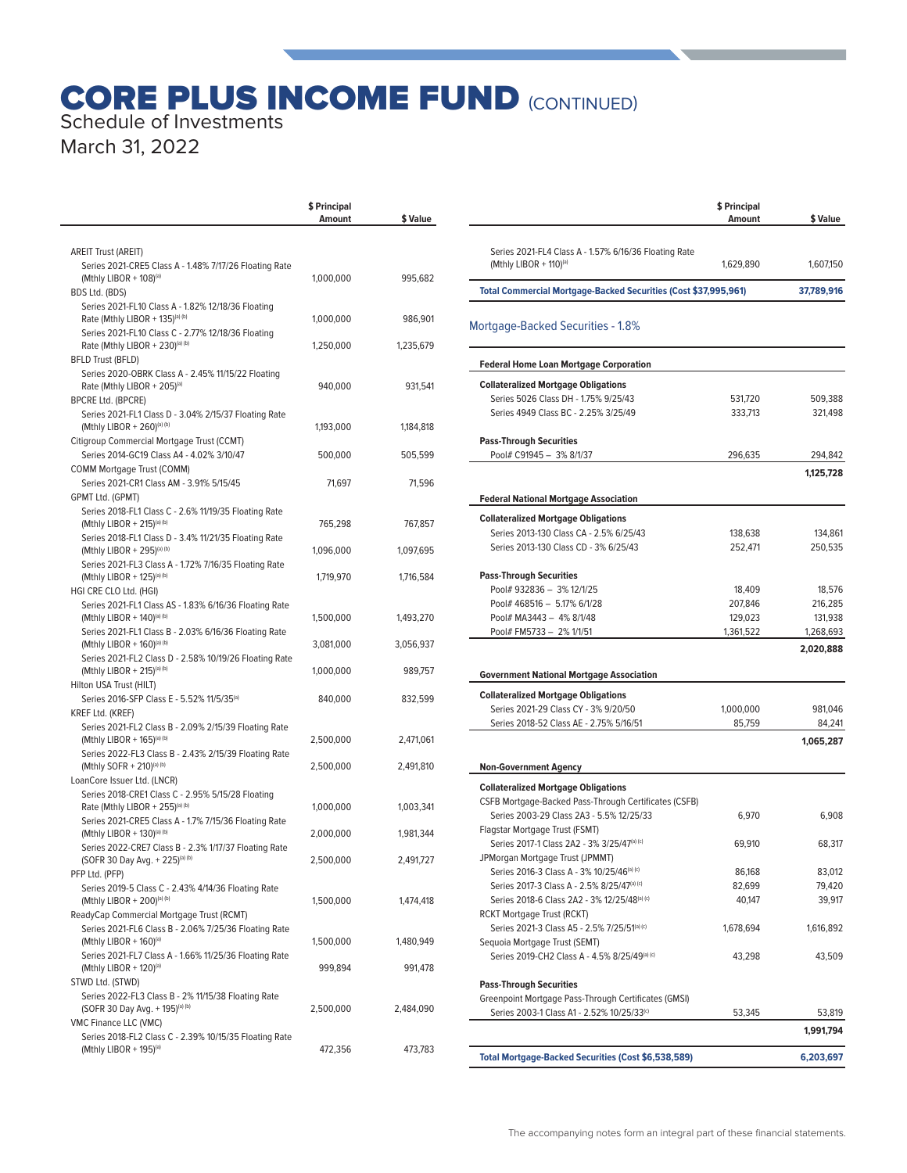# **CORE PLUS INCOME FUND (CONTINUED)** Schedule of Investments

March 31, 2022

|                                                                                                    | \$ Principal<br>Amount | \$ Value  |
|----------------------------------------------------------------------------------------------------|------------------------|-----------|
|                                                                                                    |                        |           |
| AREIT Trust (AREIT)                                                                                |                        |           |
| Series 2021-CRE5 Class A - 1.48% 7/17/26 Floating Rate<br>(Mthly LIBOR + 108) <sup>(a)</sup>       | 1,000,000              | 995,682   |
| BDS Ltd. (BDS)                                                                                     |                        |           |
| Series 2021-FL10 Class A - 1.82% 12/18/36 Floating                                                 |                        |           |
| Rate (Mthly LIBOR + 135)(a) (b)                                                                    | 1,000,000              | 986,901   |
| Series 2021-FL10 Class C - 2.77% 12/18/36 Floating<br>Rate (Mthly LIBOR + 230)(a) (b)              | 1,250,000              | 1,235,679 |
| <b>BFLD Trust (BFLD)</b>                                                                           |                        |           |
| Series 2020-OBRK Class A - 2.45% 11/15/22 Floating                                                 |                        |           |
| Rate (Mthly LIBOR + 205)(a)                                                                        | 940,000                | 931,541   |
| <b>BPCRE Ltd. (BPCRE)</b><br>Series 2021-FL1 Class D - 3.04% 2/15/37 Floating Rate                 |                        |           |
| (Mthly LIBOR + 260)(a) (b)                                                                         | 1,193,000              | 1,184,818 |
| Citigroup Commercial Mortgage Trust (CCMT)                                                         |                        |           |
| Series 2014-GC19 Class A4 - 4.02% 3/10/47                                                          | 500,000                | 505,599   |
| COMM Mortgage Trust (COMM)                                                                         |                        |           |
| Series 2021-CR1 Class AM - 3.91% 5/15/45                                                           | 71,697                 | 71,596    |
| GPMT Ltd. (GPMT)<br>Series 2018-FL1 Class C - 2.6% 11/19/35 Floating Rate                          |                        |           |
| (Mthly LIBOR + 215)(a) (b)                                                                         | 765,298                | 767,857   |
| Series 2018-FL1 Class D - 3.4% 11/21/35 Floating Rate                                              |                        |           |
| (Mthly LIBOR + 295)(a) (b)                                                                         | 1,096,000              | 1,097,695 |
| Series 2021-FL3 Class A - 1.72% 7/16/35 Floating Rate<br>(Mthly LIBOR + 125)(a) (b)                | 1,719,970              | 1,716,584 |
| HGI CRE CLO Ltd. (HGI)                                                                             |                        |           |
| Series 2021-FL1 Class AS - 1.83% 6/16/36 Floating Rate                                             |                        |           |
| (Mthly LIBOR + 140)(a) (b)                                                                         | 1,500,000              | 1,493,270 |
| Series 2021-FL1 Class B - 2.03% 6/16/36 Floating Rate<br>(Mthly LIBOR + 160)(a) (b)                | 3,081,000              | 3,056,937 |
| Series 2021-FL2 Class D - 2.58% 10/19/26 Floating Rate                                             |                        |           |
| (Mthly LIBOR + 215)(a) (b)                                                                         | 1,000,000              | 989,757   |
| Hilton USA Trust (HILT)                                                                            |                        |           |
| Series 2016-SFP Class E - 5.52% 11/5/35 <sup>(a)</sup>                                             | 840,000                | 832,599   |
| KREF Ltd. (KREF)<br>Series 2021-FL2 Class B - 2.09% 2/15/39 Floating Rate                          |                        |           |
| (Mthly LIBOR + 165)(a) (b)                                                                         | 2,500,000              | 2,471,061 |
| Series 2022-FL3 Class B - 2.43% 2/15/39 Floating Rate                                              |                        |           |
| (Mthly SOFR + 210)(a) (b)                                                                          | 2,500,000              | 2,491,810 |
| LoanCore Issuer Ltd. (LNCR)<br>Series 2018-CRE1 Class C - 2.95% 5/15/28 Floating                   |                        |           |
| Rate (Mthly LIBOR + 255)(a) (b)                                                                    | 1,000,000              | 1,003,341 |
| Series 2021-CRE5 Class A - 1.7% 7/15/36 Floating Rate                                              |                        |           |
| (Mthly LIBOR + 130)(a) (b)                                                                         | 2,000,000              | 1,981,344 |
| Series 2022-CRE7 Class B - 2.3% 1/17/37 Floating Rate<br>(SOFR 30 Day Avg. + 225)(a) (b)           | 2,500,000              | 2,491,727 |
| PFP Ltd. (PFP)                                                                                     |                        |           |
| Series 2019-5 Class C - 2.43% 4/14/36 Floating Rate                                                |                        |           |
| (Mthly LIBOR + 200)(a) (b)                                                                         | 1,500,000              | 1,474,418 |
| ReadyCap Commercial Mortgage Trust (RCMT)<br>Series 2021-FL6 Class B - 2.06% 7/25/36 Floating Rate |                        |           |
| (Mthly LIBOR + 160) <sup>(a)</sup>                                                                 | 1,500,000              | 1,480,949 |
| Series 2021-FL7 Class A - 1.66% 11/25/36 Floating Rate                                             |                        |           |
| (Mthly LIBOR + $120$ ) <sup>(a)</sup>                                                              | 999,894                | 991,478   |
| STWD Ltd. (STWD)                                                                                   |                        |           |
| Series 2022-FL3 Class B - 2% 11/15/38 Floating Rate<br>(SOFR 30 Day Avg. + 195)(a) (b)             | 2,500,000              | 2,484,090 |
| VMC Finance LLC (VMC)                                                                              |                        |           |
| Series 2018-FL2 Class C - 2.39% 10/15/35 Floating Rate                                             |                        |           |
| (Mthly LIBOR + 195)(a)                                                                             | 472,356                | 473,783   |

|                                                                                                     | \$ Principal<br>Amount | \$ Value            |
|-----------------------------------------------------------------------------------------------------|------------------------|---------------------|
|                                                                                                     |                        |                     |
| Series 2021-FL4 Class A - 1.57% 6/16/36 Floating Rate<br>(Mthly LIBOR + 110) <sup>(a)</sup>         | 1,629,890              | 1,607,150           |
| <b>Total Commercial Mortgage-Backed Securities (Cost \$37,995,961)</b>                              |                        | 37,789,916          |
| Mortgage-Backed Securities - 1.8%                                                                   |                        |                     |
| <b>Federal Home Loan Mortgage Corporation</b>                                                       |                        |                     |
| <b>Collateralized Mortgage Obligations</b>                                                          |                        |                     |
| Series 5026 Class DH - 1.75% 9/25/43                                                                | 531,720                | 509,388             |
| Series 4949 Class BC - 2.25% 3/25/49                                                                | 333,713                | 321,498             |
| <b>Pass-Through Securities</b>                                                                      |                        |                     |
| Pool# C91945 - 3% 8/1/37                                                                            | 296,635                | 294,842             |
|                                                                                                     |                        | 1,125,728           |
| <b>Federal National Mortgage Association</b>                                                        |                        |                     |
| <b>Collateralized Mortgage Obligations</b>                                                          |                        |                     |
| Series 2013-130 Class CA - 2.5% 6/25/43                                                             | 138,638                | 134,861             |
| Series 2013-130 Class CD - 3% 6/25/43                                                               | 252,471                | 250,535             |
| <b>Pass-Through Securities</b>                                                                      |                        |                     |
| Pool# 932836 - 3% 12/1/25                                                                           | 18,409                 | 18,576              |
| Pool# 468516 - 5.17% 6/1/28                                                                         | 207,846                | 216,285             |
| Pool# MA3443 - 4% 8/1/48                                                                            | 129,023                | 131,938             |
| Pool# FM5733 - 2% 1/1/51                                                                            | 1,361,522              | 1,268,693           |
|                                                                                                     |                        | 2,020,888           |
| <b>Government National Mortgage Association</b>                                                     |                        |                     |
| <b>Collateralized Mortgage Obligations</b>                                                          |                        |                     |
| Series 2021-29 Class CY - 3% 9/20/50                                                                | 1,000,000<br>85,759    | 981,046             |
| Series 2018-52 Class AE - 2.75% 5/16/51                                                             |                        | 84,241<br>1,065,287 |
|                                                                                                     |                        |                     |
| <b>Non-Government Agency</b>                                                                        |                        |                     |
| <b>Collateralized Mortgage Obligations</b><br>CSFB Mortgage-Backed Pass-Through Certificates (CSFB) |                        |                     |
| Series 2003-29 Class 2A3 - 5.5% 12/25/33                                                            | 6,970                  | 6,908               |
| Flagstar Mortgage Trust (FSMT)                                                                      |                        |                     |
| Series 2017-1 Class 2A2 - 3% 3/25/47 <sup>(a) (c)</sup>                                             | 69,910                 | 68,317              |
| JPMorgan Mortgage Trust (JPMMT)                                                                     |                        |                     |
| Series 2016-3 Class A - 3% 10/25/46(a) (c)                                                          | 86,168                 | 83,012              |
| Series 2017-3 Class A - 2.5% 8/25/47(a) (c)                                                         | 82,699                 | 79,420              |
| Series 2018-6 Class 2A2 - 3% 12/25/48(a) (c)                                                        | 40,147                 | 39,917              |
| RCKT Mortgage Trust (RCKT)                                                                          |                        |                     |
| Series 2021-3 Class A5 - 2.5% 7/25/51 <sup>(a) (c)</sup>                                            | 1,678,694              | 1,616,892           |
| Sequoia Mortgage Trust (SEMT)<br>Series 2019-CH2 Class A - 4.5% 8/25/49(a) (c)                      | 43,298                 | 43,509              |
|                                                                                                     |                        |                     |
| <b>Pass-Through Securities</b>                                                                      |                        |                     |
| Greenpoint Mortgage Pass-Through Certificates (GMSI)<br>Series 2003-1 Class A1 - 2.52% 10/25/33(c)  | 53,345                 | 53,819              |
|                                                                                                     |                        | 1,991,794           |
| <b>Total Mortgage-Backed Securities (Cost \$6,538,589)</b>                                          |                        | 6,203,697           |
|                                                                                                     |                        |                     |